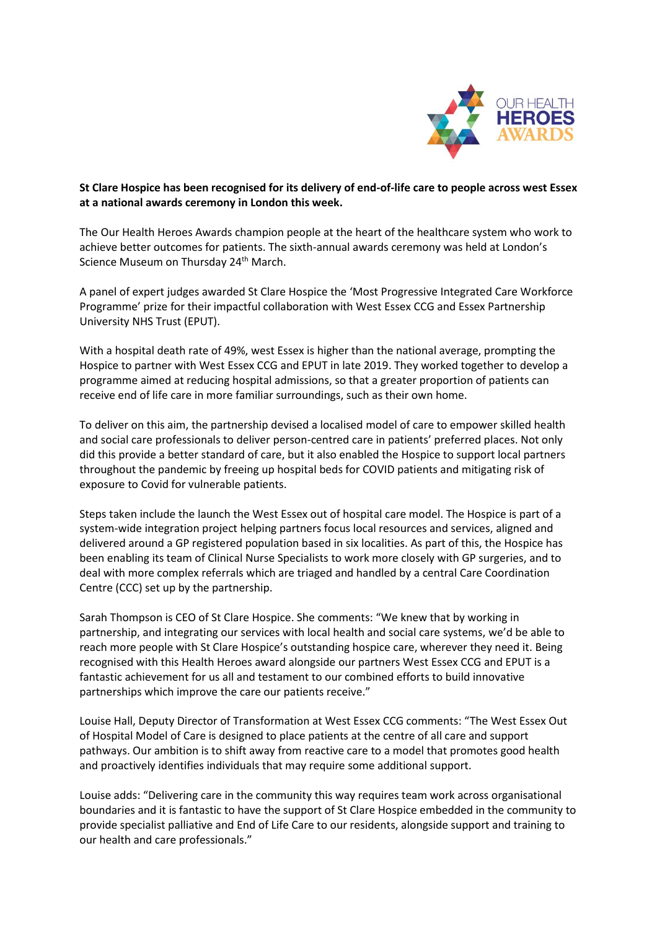

## **St Clare Hospice has been recognised for its delivery of end-of-life care to people across west Essex at a national awards ceremony in London this week.**

The Our Health Heroes Awards champion people at the heart of the healthcare system who work to achieve better outcomes for patients. The sixth-annual awards ceremony was held at London's Science Museum on Thursday 24<sup>th</sup> March.

A panel of expert judges awarded St Clare Hospice the 'Most Progressive Integrated Care Workforce Programme' prize for their impactful collaboration with West Essex CCG and Essex Partnership University NHS Trust (EPUT).

With a hospital death rate of 49%, west Essex is higher than the national average, prompting the Hospice to partner with West Essex CCG and EPUT in late 2019. They worked together to develop a programme aimed at reducing hospital admissions, so that a greater proportion of patients can receive end of life care in more familiar surroundings, such as their own home.

To deliver on this aim, the partnership devised a localised model of care to empower skilled health and social care professionals to deliver person-centred care in patients' preferred places. Not only did this provide a better standard of care, but it also enabled the Hospice to support local partners throughout the pandemic by freeing up hospital beds for COVID patients and mitigating risk of exposure to Covid for vulnerable patients.

Steps taken include the launch the West Essex out of hospital care model. The Hospice is part of a system-wide integration project helping partners focus local resources and services, aligned and delivered around a GP registered population based in six localities. As part of this, the Hospice has been enabling its team of Clinical Nurse Specialists to work more closely with GP surgeries, and to deal with more complex referrals which are triaged and handled by a central Care Coordination Centre (CCC) set up by the partnership.

Sarah Thompson is CEO of St Clare Hospice. She comments: "We knew that by working in partnership, and integrating our services with local health and social care systems, we'd be able to reach more people with St Clare Hospice's outstanding hospice care, wherever they need it. Being recognised with this Health Heroes award alongside our partners West Essex CCG and EPUT is a fantastic achievement for us all and testament to our combined efforts to build innovative partnerships which improve the care our patients receive."

Louise Hall, Deputy Director of Transformation at West Essex CCG comments: "The West Essex Out of Hospital Model of Care is designed to place patients at the centre of all care and support pathways. Our ambition is to shift away from reactive care to a model that promotes good health and proactively identifies individuals that may require some additional support.

Louise adds: "Delivering care in the community this way requires team work across organisational boundaries and it is fantastic to have the support of St Clare Hospice embedded in the community to provide specialist palliative and End of Life Care to our residents, alongside support and training to our health and care professionals."